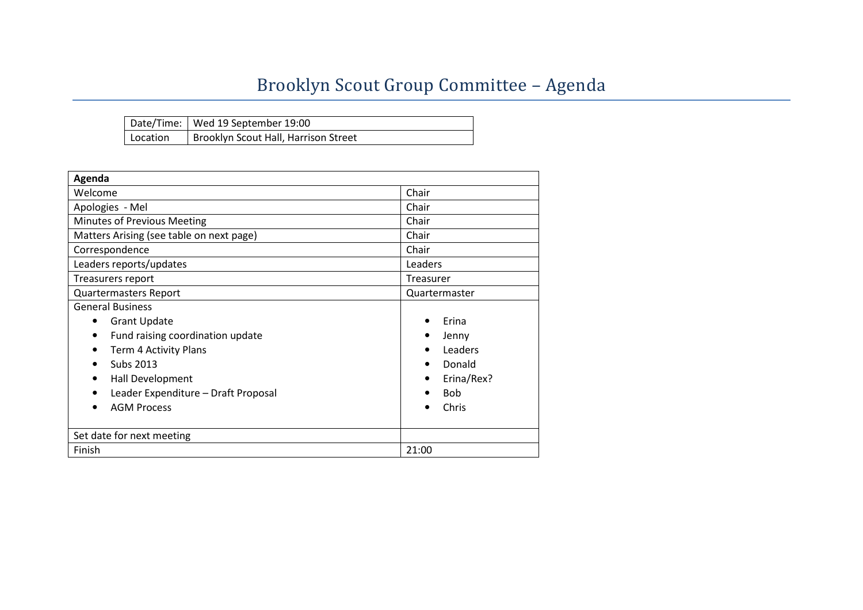## Brooklyn Scout Group Committee – Agenda

|          | Date/Time:   Wed 19 September 19:00  |
|----------|--------------------------------------|
| Location | Brooklyn Scout Hall, Harrison Street |

| Agenda                                   |                         |  |  |  |
|------------------------------------------|-------------------------|--|--|--|
| Welcome                                  | Chair                   |  |  |  |
| Apologies - Mel                          | Chair                   |  |  |  |
| Minutes of Previous Meeting              | Chair                   |  |  |  |
| Matters Arising (see table on next page) | Chair                   |  |  |  |
| Correspondence                           | Chair                   |  |  |  |
| Leaders reports/updates                  | Leaders                 |  |  |  |
| Treasurers report                        | Treasurer               |  |  |  |
| <b>Quartermasters Report</b>             | Quartermaster           |  |  |  |
| <b>General Business</b>                  |                         |  |  |  |
| <b>Grant Update</b><br>$\bullet$         | Erina                   |  |  |  |
| Fund raising coordination update         | Jenny                   |  |  |  |
| Term 4 Activity Plans                    | Leaders                 |  |  |  |
| Subs 2013                                | Donald                  |  |  |  |
| Hall Development                         | Erina/Rex?<br>$\bullet$ |  |  |  |
| Leader Expenditure - Draft Proposal      | <b>Bob</b>              |  |  |  |
| <b>AGM Process</b>                       | Chris                   |  |  |  |
|                                          |                         |  |  |  |
| Set date for next meeting                |                         |  |  |  |
| Finish                                   | 21:00                   |  |  |  |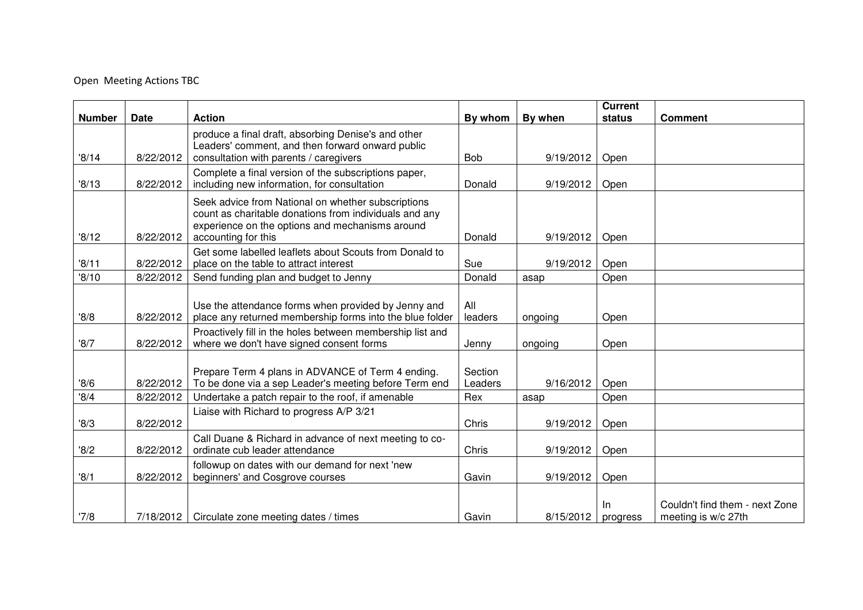## Open Meeting Actions TBC

|               |             |                                                                                                                                                                                        |                    |           | <b>Current</b>  |                                                       |
|---------------|-------------|----------------------------------------------------------------------------------------------------------------------------------------------------------------------------------------|--------------------|-----------|-----------------|-------------------------------------------------------|
| <b>Number</b> | <b>Date</b> | <b>Action</b>                                                                                                                                                                          | By whom            | By when   | status          | <b>Comment</b>                                        |
| '8/14         | 8/22/2012   | produce a final draft, absorbing Denise's and other<br>Leaders' comment, and then forward onward public<br>consultation with parents / caregivers                                      | <b>Bob</b>         | 9/19/2012 | Open            |                                                       |
| '8/13         | 8/22/2012   | Complete a final version of the subscriptions paper,<br>including new information, for consultation                                                                                    | Donald             | 9/19/2012 | Open            |                                                       |
| '8/12         | 8/22/2012   | Seek advice from National on whether subscriptions<br>count as charitable donations from individuals and any<br>experience on the options and mechanisms around<br>accounting for this | Donald             | 9/19/2012 | Open            |                                                       |
| '8/11         | 8/22/2012   | Get some labelled leaflets about Scouts from Donald to<br>place on the table to attract interest                                                                                       | Sue                | 9/19/2012 | Open            |                                                       |
| '8/10         | 8/22/2012   | Send funding plan and budget to Jenny                                                                                                                                                  | Donald             | asap      | Open            |                                                       |
| 8/8           | 8/22/2012   | Use the attendance forms when provided by Jenny and<br>place any returned membership forms into the blue folder                                                                        | All<br>leaders     | ongoing   | Open            |                                                       |
| '8/7          | 8/22/2012   | Proactively fill in the holes between membership list and<br>where we don't have signed consent forms                                                                                  | Jenny              | ongoing   | Open            |                                                       |
| '8/6          | 8/22/2012   | Prepare Term 4 plans in ADVANCE of Term 4 ending.<br>To be done via a sep Leader's meeting before Term end                                                                             | Section<br>Leaders | 9/16/2012 | Open            |                                                       |
| '8/4          | 8/22/2012   | Undertake a patch repair to the roof, if amenable                                                                                                                                      | Rex                | asap      | Open            |                                                       |
| 8/3           | 8/22/2012   | Liaise with Richard to progress A/P 3/21                                                                                                                                               | Chris              | 9/19/2012 | Open            |                                                       |
| '8/2          | 8/22/2012   | Call Duane & Richard in advance of next meeting to co-<br>ordinate cub leader attendance                                                                                               | Chris              | 9/19/2012 | Open            |                                                       |
| '8/1          | 8/22/2012   | followup on dates with our demand for next 'new<br>beginners' and Cosgrove courses                                                                                                     | Gavin              | 9/19/2012 | Open            |                                                       |
| '7/8          | 7/18/2012   | Circulate zone meeting dates / times                                                                                                                                                   | Gavin              | 8/15/2012 | -ln<br>progress | Couldn't find them - next Zone<br>meeting is w/c 27th |